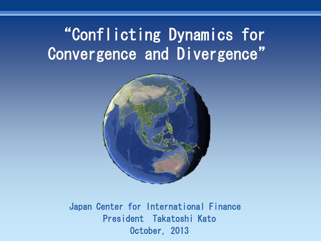# "Conflicting Dynamics for Convergence and Divergence"



Japan Center for International Finance President Takatoshi Kato October, 2013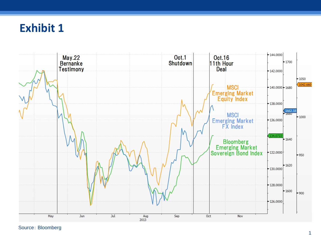## **Exhibit 1**



Source: Bloomberg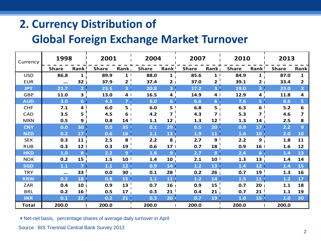## **2. Currency Distribution of**

#### **Global Foreign Exchange Market Turnover**

| Currency     | 1998         |                         | 2001         |                         | 2004         |                   | 2007         |                         | 2010         |                   | 2013         |      |
|--------------|--------------|-------------------------|--------------|-------------------------|--------------|-------------------|--------------|-------------------------|--------------|-------------------|--------------|------|
|              | <b>Share</b> | Rank <sup>1</sup>       | <b>Share</b> | Rank                    | <b>Share</b> | Rank <sup>1</sup> | <b>Share</b> | Rank <sub>I</sub>       | <b>Share</b> | Rank <sup>1</sup> | <b>Share</b> | Rank |
| <b>USD</b>   | 86.8         | $1 \cdot$               | 89.9         | 1                       | 88.0         | $\mathbf{1}$      | 85.6         | 1 <sup>1</sup>          | 84.9         | 1                 | 87.0         | 1    |
| <b>EUR</b>   | $\ddotsc$    | 32 <sub>1</sub>         | 37.9         | $\overline{2}$          | 37.4         | 2 <sub>1</sub>    | 37.0         | $\overline{\mathbf{2}}$ | 39.1         | $\mathbf{2}$      | 33.4         | 2    |
| <b>JPY</b>   | 21.7         | 2 <sup>1</sup>          | 23.5         | $\overline{\mathbf{3}}$ | 20.8         | $\mathbf{3}$      | 17.2         | 3 <sub>1</sub>          | 19.0         | 3                 | 23.0         | 3    |
| <b>GBP</b>   | 11.0         | $\overline{\mathbf{3}}$ | 13.0         | 4                       | 16.5         | 4                 | 14.9         | 4 <sub>1</sub>          | 12.9         | 4                 | 11.8         | 4    |
| <b>AUD</b>   | 3.0          | 6 <sub>1</sub>          | 4.3          | $\overline{z}$          | 6.0          | 6 <sup>1</sup>    | 6.6          | 6 <sub>1</sub>          | 7.6          | 5 <sup>1</sup>    | 8.6          | 5    |
| <b>CHF</b>   | 7.1          | 4 <sup>1</sup>          | 6.0          | 5                       | 6.0          | 5 <sup>1</sup>    | 6.8          | 5 <sub>1</sub>          | 6.3          | 6                 | $5.2$        | 6    |
| CAD          | 3.5          | 5                       | 4.5          | 6                       | 4.2          | $\overline{ }$    | 4.3          | 7 <sup>1</sup>          | 5.3          | 7                 | 4.6          | 7    |
| <b>MXN</b>   | 0.5          | 9                       | 0.8          | 14                      | 1.1          | 12                | 1.3          | 12 <sup>1</sup>         | 1.3          | 14                | 2.5          | 8    |
| <b>CNY</b>   | 0.0          | 30                      | 0.0          | 35                      | 0.1          | 29                | 0.5          | 20                      | 0.9          | 17                | 2.2          | 9    |
| <b>NZD</b>   | 0.2          | 17                      | 0.6          | 16                      | $1.1$        | 13                | 1.9          | 11                      | 1.6          | 10                | 2.0          | 10   |
| <b>SEK</b>   | 0.3          | 11 <sub>1</sub>         | 2.5          | 8                       | 2.2          | 8                 | 2.7          | 9 <sup>1</sup>          | 2.2          | 9                 | 1.8          | 11   |
| <b>RUB</b>   | 0.3          | 12 <sub>1</sub>         | 0.3          | 19                      | 0.6          | 17 <sup>1</sup>   | 0.7          | 18                      | 0.9          | 16                | 1.6          | 12   |
| <b>HKD</b>   | 1.0          | 8                       | 2.2          | $\overline{9}$          | 1.8          | 9 <sup>°</sup>    | 2.7          | 8                       | 2.4          | 8                 | 1.4          | 13   |
| <b>NOK</b>   | 0.2          | 15                      | 1.5          | 10                      | 1.4          | 10                | 2.1          | 10 <sup>1</sup>         | 1.3          | 13                | 1.4          | 14   |
| <b>SGD</b>   | 1.1          | $\overline{7}$          | $1.1$        | 12                      | 0.9          | 14                | $1.2$        | 13                      | $1.4$        | 12                | 1.4          | 15   |
| <b>TRY</b>   | $\ddotsc$    | 33                      | 0.0          | 30                      | 0.1          | 28                | 0.2          | 26 <sub>1</sub>         | 0.7          | 19                | 1.3          | 16   |
| <b>KRW</b>   | 0.2          | 18                      | 0.8          | 15                      | $1.1$        | 11                | 1.2          | 14                      | $1.5$        | 11                | $1.2$        | 17   |
| ZAR          | 0.4          | 10 <sub>1</sub>         | 0.9          | 13                      | 0.7          | 16 <sub>1</sub>   | 0.9          | 15                      | 0.7          | 20                | 1.1          | 18   |
| <b>BRL</b>   | 0.2          | 16 <sup>1</sup>         | 0.5          | 17                      | 0.3          | 21 <sup>1</sup>   | 0.4          | 21                      | 0.7          | 21                | 1.1          | 19   |
| <b>INR</b>   | 0.1          | 22 <sub>2</sub>         | 0.2          | 21                      | 0.3          | 20 <sub>1</sub>   | 0.7          | 19                      | $1.0$        | 15                | 1.0          | 20   |
| <b>Total</b> | 200.0        | $\mathbf{I}$            | 200.0        |                         | 200.0        | $\mathbf{I}$      | 200.0        |                         | 200.0        |                   | 200.0        |      |

\*Net-net basis, percentage shares of average daily turnover in April

Source: BIS Triennial Central Bank Survey 2013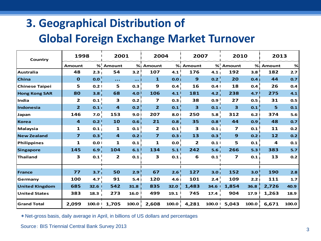# **3. Geographical Distribution of**

#### **Global Foreign Exchange Market Turnover**

| Country               | 1998                    |                  | 2001                    |                  | 2004                    |       | 2007         |       | 2010         |                  | 2013        |       |
|-----------------------|-------------------------|------------------|-------------------------|------------------|-------------------------|-------|--------------|-------|--------------|------------------|-------------|-------|
|                       | <b>Amount</b>           |                  | % Amount                |                  | % Amount                | %     | Amount       | %'    | Amount       |                  | % Amount    | $\%$  |
| <b>Australia</b>      | 48                      | 2.3 <sub>1</sub> | 54                      | 3.2              | 107                     | 4.1   | 176          | 4.1   | 192          | 3.8              | 182         | 2.7   |
| <b>China</b>          | $\mathbf 0$             | 0.0              | $\ddotsc$               | $\cdots$         | $\mathbf{1}$            | 0.0   | $\mathbf{9}$ | 0.2   | 20           | 0.4 <sub>1</sub> | 44          | 0.7   |
| <b>Chinese Taipei</b> | 5                       | 0.2              | 5                       | 0.3              | 9                       | 0.4   | 16           | 0.4   | 18           | 0.4              | 26          | 0.4   |
| <b>Hong Kong SAR</b>  | 80                      | 3.8 <sub>1</sub> | 68                      | 4.0              | 106                     | 4.1   | 181          | 4.2   | 238          | 4.7              | 275         | 4.1   |
| India                 | $\mathbf{2}$            | 0.1              | 3                       | 0.2              | $\overline{\mathbf{z}}$ | 0.3   | 38           | 0.9   | 27           | 0.5 <sub>1</sub> | 31          | 0.5   |
| Indonesia             | $\overline{2}$          | 0.11             | $\overline{\mathbf{4}}$ | 0.2              | $\overline{2}$          | 0.1   | 3            | 0.1   | 3            | 0.1              | 5           | 0.1   |
| Japan                 | 146                     | 7.0              | 153                     | 9.0              | 207                     | 8.0   | 250          | 5.8   | 312          | 6.2              | 374         | $5.6$ |
| Korea                 | $\overline{\mathbf{4}}$ | 0.2 <sup>1</sup> | 10                      | 0.6              | 21                      | 0.8   | 35           | 0.8   | 44           | 0.9              | 48          | 0.7   |
| <b>Malaysia</b>       | 1                       | 0.1 <sub>1</sub> | 1                       | 0.1              | 2                       | 0.1   | З            | 0.1   | 7            | 0.1              | 11          | 0.2   |
| <b>New Zealand</b>    | $\overline{\mathbf{z}}$ | 0.3              | $\overline{\mathbf{4}}$ | 0.2 <sub>1</sub> | $\overline{\mathbf{z}}$ | 0.3   | 13           | 0.3   | $\mathbf{9}$ | 0.21             | 12          | 0.2   |
| Philippines           | 1                       | 0.0 <sub>1</sub> | 1                       | 0.1              | $\mathbf{1}$            | 0.0   | 2            | 0.1   | 5            | 0.1              | 4           | 0.1   |
| <b>Singapore</b>      | 145                     | 6.9              | 104                     | 6.1              | 134                     | 5.1   | 242          | 5.6   | 266          | 5.3              | 383         | $5.7$ |
| Thailand              | 3                       | 0.1              | $\overline{2}$          | 0.1              | З                       | 0.1   | 6            | 0.1   | 7            | 0.1 <sub>1</sub> | 13          | 0.2   |
|                       |                         |                  |                         |                  |                         |       |              |       |              |                  |             |       |
| France                | 77                      | 3.7 <sub>1</sub> | 50                      | 2.9              | 67                      | 2.6   | 127          | 3.0   | 152          | 3.0              | 190         | 2.8   |
| Germany               | 100                     | 4.7              | 91                      | 5.4              | 120                     | 4.6   | 101          | 2.4   | 109          | 2.21             | 111         | 1.7   |
| <b>United Kingdom</b> | 685                     | 32.6             | 542                     | 31.8             | 835                     | 32.0  | 1,483        | 34.6  | 1,854        | 36.8             | 2,726       | 40.9  |
| <b>United States</b>  | 383                     | 18.3             | 273                     | 16.0             | 499                     | 19.1  | 745          | 17.4  | 904          | 17.9             | 1,263       | 18.9  |
| <b>Grand Total</b>    | 2,099                   | 100.0            | 1,705                   | 100.0            | 2,608                   | 100.0 | 4,281        | 100.0 | 5,043        |                  | 100.0 6,671 | 100.0 |

\*Net-gross basis, daily average in April, in billions of US dollars and percentages

Source: BIS Triennial Central Bank Survey 2013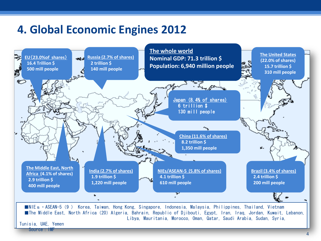#### **4. Global Economic Engines 2012**

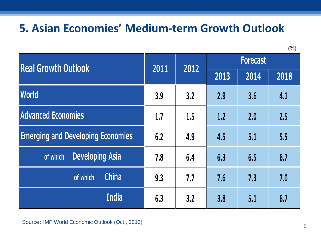## **5. Asian Economies' Medium-term Growth Outlook**

(%)

| <b>Real Growth Outlook</b>               | 2011 | 2012 | <b>Forecast</b> |      |      |  |
|------------------------------------------|------|------|-----------------|------|------|--|
|                                          |      |      | 2013            | 2014 | 2018 |  |
| <b>World</b>                             | 3.9  | 3.2  | 2.9             | 3.6  | 4.1  |  |
| <b>Advanced Economies</b>                | 1.7  | 1.5  | 1.2             | 2.0  | 2.5  |  |
| <b>Emerging and Developing Economies</b> | 6.2  | 4.9  | 4.5             | 5.1  | 5.5  |  |
| <b>Developing Asia</b><br>of which       | 7.8  | 6.4  | 6.3             | 6.5  | 6.7  |  |
| <b>China</b><br>of which                 | 9.3  | 7.7  | 7.6             | 7.3  | 7.0  |  |
| <b>India</b>                             | 6.3  | 3.2  | 3.8             | 5.1  | 6.7  |  |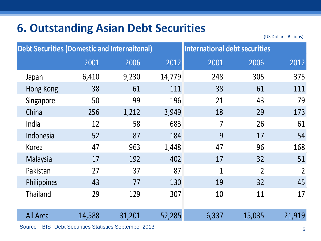## **6. Outstanding Asian Debt Securities**

(US Dollars, Billions)

| <b>Debt Securities (Domestic and Internaitonal)</b> |        |        | International debt securities |                |                |                |
|-----------------------------------------------------|--------|--------|-------------------------------|----------------|----------------|----------------|
|                                                     | 2001   | 2006   | 2012                          | 2001           | 2006           | 2012           |
| Japan                                               | 6,410  | 9,230  | 14,779                        | 248            | 305            | 375            |
| <b>Hong Kong</b>                                    | 38     | 61     | 111                           | 38             | 61             | 111            |
| Singapore                                           | 50     | 99     | 196                           | 21             | 43             | 79             |
| China                                               | 256    | 1,212  | 3,949                         | 18             | 29             | 173            |
| India                                               | 12     | 58     | 683                           | 7              | 26             | 61             |
| Indonesia                                           | 52     | 87     | 184                           | 9              | 17             | 54             |
| Korea                                               | 47     | 963    | 1,448                         | 47             | 96             | 168            |
| Malaysia                                            | 17     | 192    | 402                           | 17             | 32             | 51             |
| Pakistan                                            | 27     | 37     | 87                            | $\overline{1}$ | $\overline{2}$ | $\overline{2}$ |
| Philippines                                         | 43     | 77     | 130                           | 19             | 32             | 45             |
| <b>Thailand</b>                                     | 29     | 129    | 307                           | 10             | 11             | 17             |
| All Area                                            | 14,588 | 31,201 | 52,285                        | 6,337          | 15,035         | 21,919         |

<sup>6</sup> Source: BIS Debt Securities Statistics September 2013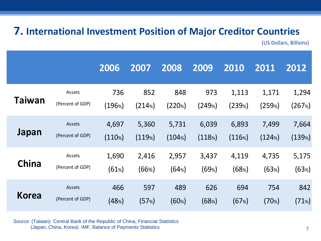#### **7. International Investment Position of Major Creditor Countries**

(US Dollars, Billions)

|              |                  | 2006      | 2007   | 2008   | 2009   | 2010   | 2011   | 2012   |
|--------------|------------------|-----------|--------|--------|--------|--------|--------|--------|
| Taiwan       | Assets           | 736       | 852    | 848    | 973    | 1,113  | 1,171  | 1,294  |
|              | (Percent of GDP) | (196%)    | (214%) | (220%) | (249%) | (239%) | (259%) | (267%) |
| Japan        | Assets           | 4,697     | 5,360  | 5,731  | 6,039  | 6,893  | 7,499  | 7,664  |
|              | (Percent of GDP) | $(110\%)$ | (119%) | (104%) | (118%) | (116%) | (124%) | (139%) |
| <b>China</b> | Assets           | 1,690     | 2,416  | 2,957  | 3,437  | 4,119  | 4,735  | 5,175  |
|              | (Percent of GDP) | (61%)     | (66%)  | (64%)  | (69%)  | (68%)  | (63%)  | (63%)  |
| Korea        | Assets           | 466       | 597    | 489    | 626    | 694    | 754    | 842    |
|              | (Percent of GDP) | (48%)     | (57%)  | (60%)  | (68%)  | (67%)  | (70%)  | (71%)  |

Source: (Taiwan) Central Bank of the Republic of China, Financial Statistics (Japan, China, Korea) IMF, Balance of Payments Statistics 7